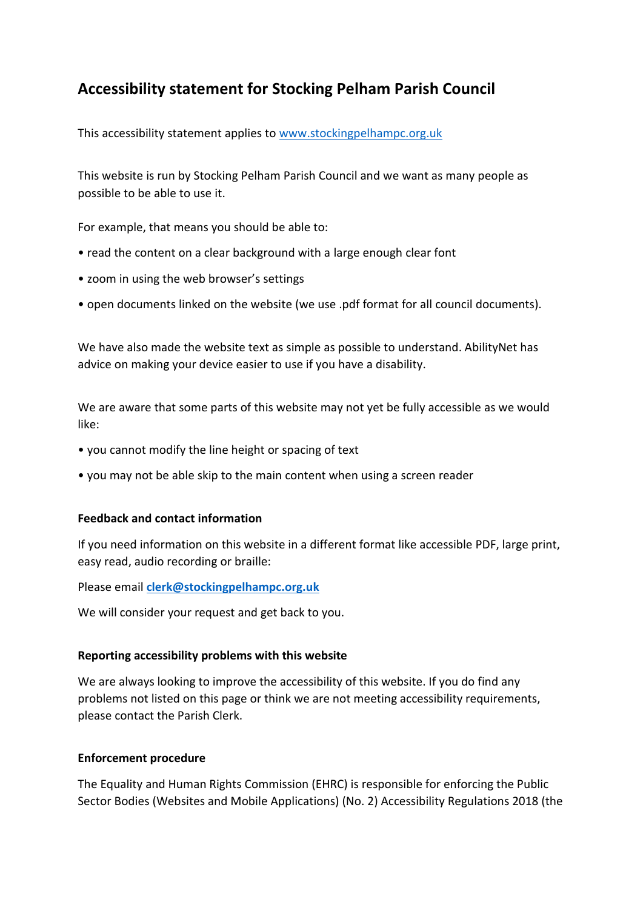## **Accessibility statement for Stocking Pelham Parish Council**

This accessibility statement applies to [www.stockingpelhampc.org.uk](http://www.stockingpelhampc.org.uk/)

This website is run by Stocking Pelham Parish Council and we want as many people as possible to be able to use it.

For example, that means you should be able to:

- read the content on a clear background with a large enough clear font
- zoom in using the web browser's settings
- open documents linked on the website (we use .pdf format for all council documents).

We have also made the website text as simple as possible to understand. AbilityNet has advice on making your device easier to use if you have a disability.

We are aware that some parts of this website may not yet be fully accessible as we would like:

- you cannot modify the line height or spacing of text
- you may not be able skip to the main content when using a screen reader

## **Feedback and contact information**

If you need information on this website in a different format like accessible PDF, large print, easy read, audio recording or braille:

Please email **[clerk@stockingpelhampc.org.uk](mailto:clerk@stockingpelhampc.org.uk)**

We will consider your request and get back to you.

## **Reporting accessibility problems with this website**

We are always looking to improve the accessibility of this website. If you do find any problems not listed on this page or think we are not meeting accessibility requirements, please contact the Parish Clerk.

## **Enforcement procedure**

The Equality and Human Rights Commission (EHRC) is responsible for enforcing the Public Sector Bodies (Websites and Mobile Applications) (No. 2) Accessibility Regulations 2018 (the